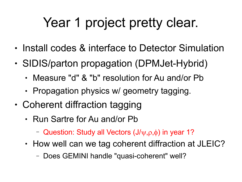# Year 1 project pretty clear.

- Install codes & interface to Detector Simulation
- SIDIS/parton propagation (DPMJet-Hybrid)
	- Measure "d" & "b" resolution for Au and/or Pb
	- Propagation physics w/ geometry tagging.
- Coherent diffraction tagging
	- Run Sartre for Au and/or Pb
		- Question: Study all Vectors  $(J/\psi,\rho,\phi)$  in year 1?
	- How well can we tag coherent diffraction at JLEIC?
		- Does GEMINI handle "quasi-coherent" well?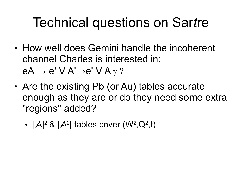## Technical questions on Sar*t*re

- How well does Gemini handle the incoherent channel Charles is interested in:  $eA \rightarrow e' \vee A' \rightarrow e' \vee A \gamma$  ?
- Are the existing Pb (or Au) tables accurate enough as they are or do they need some extra "regions" added?
	- $|A|^2$  &  $|A^2|$  tables cover  $(W^2,Q^2,t)$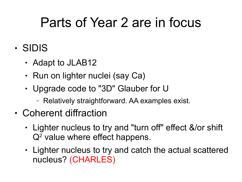#### Parts of Year 2 are in focus

- SIDIS
	- Adapt to JLAB12
	- Run on lighter nuclei (say Ca)
	- Upgrade code to "3D" Glauber for U
		- Relatively straightforward. AA examples exist.
- Coherent diffraction
	- Lighter nucleus to try and "turn off" effect &/or shift  $Q<sup>2</sup>$  value where effect happens.
	- Lighter nucleus to try and catch the actual scattered nucleus? (CHARLES)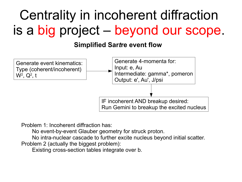## Centrality in incoherent diffraction is a big project – beyond our scope.

#### **Simplified Sar***t***re event flow**



Problem 1: Incoherent diffraction has:

No event-by-event Glauber geometry for struck proton.

No intra-nuclear cascade to further excite nucleus beyond initial scatter.

Problem 2 (actually the biggest problem):

Existing cross-section tables integrate over b.